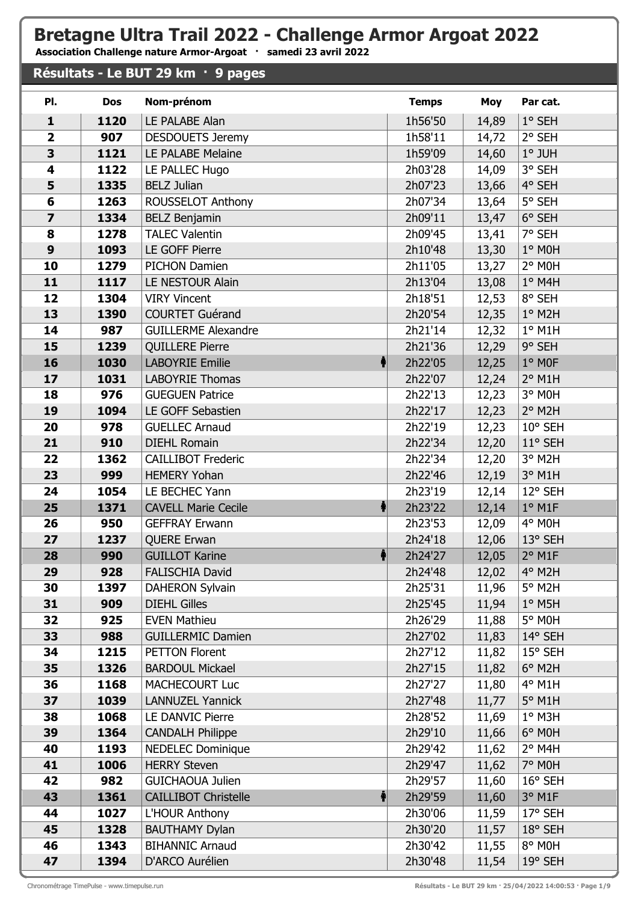## **Bretagne Ultra Trail 2022 - Challenge Armor Argoat 2022**

**Association Challenge nature Armor-Argoat · samedi 23 avril 2022**

## **Résultats - Le BUT 29 km · 9 pages**

| PI.                     | <b>Dos</b>  | Nom-prénom                                    | <b>Temps</b>       | Moy            | Par cat.              |
|-------------------------|-------------|-----------------------------------------------|--------------------|----------------|-----------------------|
| $\mathbf{1}$            | 1120        | LE PALABE Alan                                | 1h56'50            | 14,89          | 1° SEH                |
| $\overline{\mathbf{2}}$ | 907         | <b>DESDOUETS Jeremy</b>                       | 1h58'11            | 14,72          | 2° SEH                |
| 3                       | 1121        | LE PALABE Melaine                             | 1h59'09            | 14,60          | $1°$ JUH              |
| 4                       | 1122        | LE PALLEC Hugo                                | 2h03'28            | 14,09          | 3° SEH                |
| 5                       | 1335        | <b>BELZ Julian</b>                            | 2h07'23            | 13,66          | 4° SEH                |
| 6                       | 1263        | ROUSSELOT Anthony                             | 2h07'34            | 13,64          | 5° SEH                |
| $\overline{\mathbf{z}}$ | 1334        | <b>BELZ Benjamin</b>                          | 2h09'11            | 13,47          | 6° SEH                |
| 8                       | 1278        | <b>TALEC Valentin</b>                         | 2h09'45            | 13,41          | 7° SEH                |
| $\boldsymbol{9}$        | 1093        | LE GOFF Pierre                                | 2h10'48            | 13,30          | 1° MOH                |
| 10                      | 1279        | <b>PICHON Damien</b>                          | 2h11'05            | 13,27          | 2° MOH                |
| 11                      | 1117        | LE NESTOUR Alain                              | 2h13'04            | 13,08          | $1°$ M4H              |
| 12                      | 1304        | <b>VIRY Vincent</b>                           | 2h18'51            | 12,53          | 8° SEH                |
| 13                      | 1390        | <b>COURTET Guérand</b>                        | 2h20'54            | 12,35          | 1° M2H                |
| 14                      | 987         | <b>GUILLERME Alexandre</b>                    | 2h21'14            | 12,32          | $1°$ M1H              |
| 15                      | 1239        | <b>QUILLERE Pierre</b>                        | 2h21'36            | 12,29          | 9° SEH                |
| 16                      | 1030        | <b>LABOYRIE Emilie</b>                        | 2h22'05            | 12,25          | 1° MOF                |
| 17                      | 1031        | <b>LABOYRIE Thomas</b>                        | 2h22'07            | 12,24          | $2°$ M1H              |
| 18                      | 976         | <b>GUEGUEN Patrice</b>                        | 2h22'13            | 12,23          | 3° MOH                |
| 19                      | 1094        | LE GOFF Sebastien                             | 2h22'17            | 12,23          | $2°$ M <sub>2</sub> H |
| 20                      | 978         | <b>GUELLEC Arnaud</b>                         | 2h22'19            | 12,23          | 10° SEH               |
| 21                      | 910         | <b>DIEHL Romain</b>                           | 2h22'34            | 12,20          | 11° SEH               |
| 22                      | 1362        | <b>CAILLIBOT Frederic</b>                     | 2h22'34            | 12,20          | 3° M2H                |
| 23                      | 999         | <b>HEMERY Yohan</b>                           | 2h22'46            | 12,19          | 3° M1H                |
| 24                      | 1054        | LE BECHEC Yann                                | 2h23'19            | 12,14          | 12° SEH               |
| 25                      | 1371        | <b>CAVELL Marie Cecile</b>                    | 2h23'22            | 12,14          | $1°$ M1F              |
| 26                      | 950         | <b>GEFFRAY Erwann</b>                         | 2h23'53            | 12,09          | 4° MOH                |
| 27                      | 1237        | <b>QUERE Erwan</b>                            | 2h24'18            | 12,06          | 13° SEH               |
| 28                      | 990         | <b>GUILLOT Karine</b>                         | 2h24'27            | 12,05          | $2°$ M1F              |
| 29<br>30                | 928<br>1397 | <b>FALISCHIA David</b>                        | 2h24'48<br>2h25'31 | 12,02          | 4° M2H<br>5° M2H      |
| 31                      | 909         | <b>DAHERON Sylvain</b><br><b>DIEHL Gilles</b> | 2h25'45            | 11,96<br>11,94 | $1^\circ$ M5H         |
| 32                      | 925         | <b>EVEN Mathieu</b>                           | 2h26'29            | 11,88          | 5° MOH                |
| 33                      | 988         | <b>GUILLERMIC Damien</b>                      | 2h27'02            | 11,83          | 14° SEH               |
| 34                      | 1215        | <b>PETTON Florent</b>                         | 2h27'12            | 11,82          | $15^{\circ}$ SEH      |
| 35                      | 1326        | <b>BARDOUL Mickael</b>                        | 2h27'15            | 11,82          | $6^\circ$ M2H         |
| 36                      | 1168        | <b>MACHECOURT Luc</b>                         | 2h27'27            | 11,80          | 4° M1H                |
| 37                      | 1039        | <b>LANNUZEL Yannick</b>                       | 2h27'48            | 11,77          | 5° M1H                |
| 38                      | 1068        | LE DANVIC Pierre                              | 2h28'52            | 11,69          | $1^\circ$ M3H         |
| 39                      | 1364        | <b>CANDALH Philippe</b>                       | 2h29'10            | 11,66          | 6° M0H                |
| 40                      | 1193        | <b>NEDELEC Dominique</b>                      | 2h29'42            | 11,62          | $2°$ M4H              |
| 41                      | 1006        | <b>HERRY Steven</b>                           | 2h29'47            | 11,62          | 7° M0H                |
| 42                      | 982         | <b>GUICHAOUA Julien</b>                       | 2h29'57            | 11,60          | $16^{\circ}$ SEH      |
| 43                      | 1361        | <b>CAILLIBOT Christelle</b><br>4              | 2h29'59            | 11,60          | 3° M1F                |
| 44                      | 1027        | L'HOUR Anthony                                | 2h30'06            | 11,59          | 17° SEH               |
| 45                      | 1328        | <b>BAUTHAMY Dylan</b>                         | 2h30'20            | 11,57          | 18° SEH               |
| 46                      | 1343        | <b>BIHANNIC Arnaud</b>                        | 2h30'42            | 11,55          | 8° MOH                |
| 47                      | 1394        | D'ARCO Aurélien                               | 2h30'48            | 11,54          | 19° SEH               |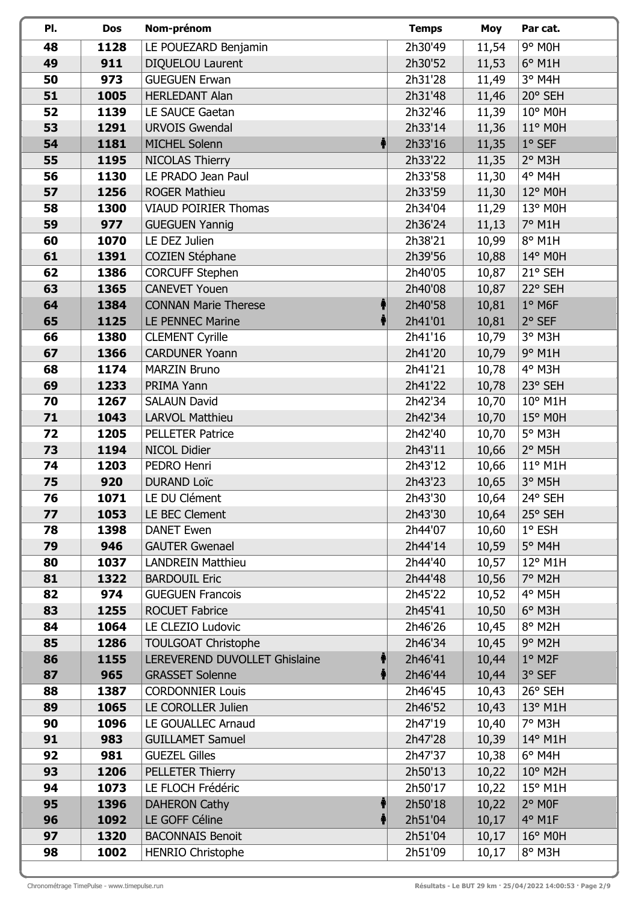| PI.      | Dos         | Nom-prénom                                              | <b>Temps</b>       | <b>Moy</b>     | Par cat.           |
|----------|-------------|---------------------------------------------------------|--------------------|----------------|--------------------|
| 48       | 1128        | LE POUEZARD Benjamin                                    | 2h30'49            | 11,54          | 9° M0H             |
| 49       | 911         | DIQUELOU Laurent                                        | 2h30'52            | 11,53          | $6^\circ$ M1H      |
| 50       | 973         | <b>GUEGUEN Erwan</b>                                    | 2h31'28            | 11,49          | 3° M4H             |
| 51       | 1005        | <b>HERLEDANT Alan</b>                                   | 2h31'48            | 11,46          | 20° SEH            |
| 52       | 1139        | LE SAUCE Gaetan                                         | 2h32'46            | 11,39          | 10° M0H            |
| 53       | 1291        | <b>URVOIS Gwendal</b>                                   | 2h33'14            | 11,36          | $11^{\circ}$ MOH   |
| 54       | 1181        | <b>MICHEL Solenn</b>                                    | 2h33'16            | 11,35          | $1°$ SEF           |
| 55       | 1195        | NICOLAS Thierry                                         | 2h33'22            | 11,35          | 2° M3H             |
| 56       | 1130        | LE PRADO Jean Paul                                      | 2h33'58            | 11,30          | 4° M4H             |
| 57       | 1256        | <b>ROGER Mathieu</b>                                    | 2h33'59            | 11,30          | $12^{\circ}$ MOH   |
| 58       | 1300        | <b>VIAUD POIRIER Thomas</b>                             | 2h34'04            | 11,29          | 13° M0H            |
| 59       | 977         | <b>GUEGUEN Yannig</b>                                   | 2h36'24            | 11,13          | 7° M1H             |
| 60       | 1070        | LE DEZ Julien                                           | 2h38'21            | 10,99          | 8° M1H             |
| 61       | 1391        | <b>COZIEN Stéphane</b>                                  | 2h39'56            | 10,88          | 14° M0H            |
| 62       | 1386        | <b>CORCUFF Stephen</b>                                  | 2h40'05            | 10,87          | 21° SEH            |
| 63       | 1365        | <b>CANEVET Youen</b>                                    | 2h40'08            | 10,87          | 22° SEH            |
| 64       | 1384        | <b>CONNAN Marie Therese</b>                             | 2h40'58            | 10,81          | $1°$ M6F           |
| 65       | 1125        | LE PENNEC Marine                                        | 2h41'01            | 10,81          | $2°$ SEF           |
| 66       | 1380        | <b>CLEMENT Cyrille</b>                                  | 2h41'16            | 10,79          | 3° M3H             |
| 67       | 1366        | <b>CARDUNER Yoann</b>                                   | 2h41'20            | 10,79          | 9° M1H             |
| 68       | 1174        | <b>MARZIN Bruno</b>                                     | 2h41'21            | 10,78          | 4° M3H             |
| 69       | 1233        | PRIMA Yann                                              | 2h41'22            | 10,78          | 23° SEH            |
| 70       | 1267        | <b>SALAUN David</b>                                     | 2h42'34            | 10,70          | $10^{\circ}$ M1H   |
| 71       | 1043        | <b>LARVOL Matthieu</b>                                  | 2h42'34            | 10,70          | $15^{\circ}$ M0H   |
| 72       | 1205        | <b>PELLETER Patrice</b>                                 | 2h42'40            | 10,70          | 5° M3H             |
| 73       | 1194        | NICOL Didier                                            | 2h43'11            | 10,66          | $2°$ M5H           |
| 74       | 1203        | PEDRO Henri                                             | 2h43'12            | 10,66          | $11^{\circ}$ M1H   |
| 75       | 920         | <b>DURAND Loïc</b>                                      | 2h43'23            | 10,65          | 3° M5H             |
| 76       | 1071        | LE DU Clément                                           | 2h43'30            | 10,64          | 24° SEH            |
| 77       | 1053        | LE BEC Clement                                          | 2h43'30            | 10,64          | 25° SEH            |
| 78       | 1398        | <b>DANET Ewen</b>                                       | 2h44'07            | 10,60          | $1^\circ$ ESH      |
| 79       | 946         | <b>GAUTER Gwenael</b>                                   | 2h44'14            | 10,59          | $5^\circ$ M4H      |
| 80       | 1037        | <b>LANDREIN Matthieu</b>                                | 2h44'40            | 10,57          | $12^{\circ}$ M1H   |
| 81       | 1322        | <b>BARDOUIL Eric</b>                                    | 2h44'48            | 10,56          | 7° M2H             |
| 82       | 974         | <b>GUEGUEN Francois</b>                                 | 2h45'22            | 10,52          | 4° M5H             |
| 83       | 1255        | <b>ROCUET Fabrice</b>                                   | 2h45'41            | 10,50          | $6^\circ$ M3H      |
| 84       | 1064        | LE CLEZIO Ludovic                                       | 2h46'26            | 10,45          | 8° M2H             |
| 85       | 1286        | <b>TOULGOAT Christophe</b>                              | 2h46'34            | 10,45          | $9°$ M2H           |
| 86<br>87 | 1155<br>965 | LEREVEREND DUVOLLET Ghislaine<br><b>GRASSET Solenne</b> | 2h46'41<br>2h46'44 | 10,44          | $1°$ M2F<br>3° SEF |
| 88       | 1387        | <b>CORDONNIER Louis</b>                                 | 2h46'45            | 10,44<br>10,43 | 26° SEH            |
| 89       | 1065        | LE COROLLER Julien                                      | 2h46'52            | 10,43          | $13^{\circ}$ M1H   |
| 90       | 1096        | LE GOUALLEC Arnaud                                      | 2h47'19            | 10,40          | 7° M3H             |
| 91       | 983         | <b>GUILLAMET Samuel</b>                                 | 2h47'28            | 10,39          | $14^{\circ}$ M1H   |
| 92       | 981         | <b>GUEZEL Gilles</b>                                    | 2h47'37            | 10,38          | $6^{\circ}$ M4H    |
| 93       | 1206        | PELLETER Thierry                                        | 2h50'13            | 10,22          | $10^{\circ}$ M2H   |
| 94       | 1073        | LE FLOCH Frédéric                                       | 2h50'17            | 10,22          | 15° M1H            |
| 95       | 1396        | <b>DAHERON Cathy</b>                                    | 2h50'18            | 10,22          | $2°$ MOF           |
| 96       | 1092        | LE GOFF Céline                                          | 2h51'04            | 10,17          | $4^{\circ}$ M1F    |
| 97       | 1320        | <b>BACONNAIS Benoit</b>                                 | 2h51'04            | 10,17          | $16^{\circ}$ M0H   |
| 98       | 1002        | <b>HENRIO Christophe</b>                                | 2h51'09            | 10,17          | 8° M3H             |
|          |             |                                                         |                    |                |                    |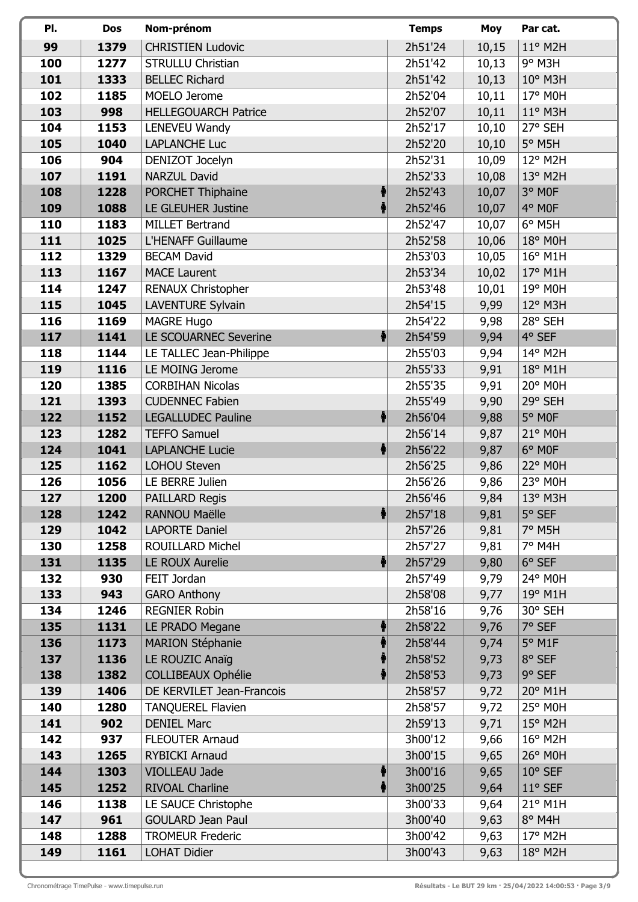| PI.        | Dos         | Nom-prénom                                     | <b>Temps</b>       | Moy          | Par cat.          |
|------------|-------------|------------------------------------------------|--------------------|--------------|-------------------|
| 99         | 1379        | <b>CHRISTIEN Ludovic</b>                       | 2h51'24            | 10,15        | 11° M2H           |
| 100        | 1277        | <b>STRULLU Christian</b>                       | 2h51'42            | 10,13        | $9°$ M3H          |
| 101        | 1333        | <b>BELLEC Richard</b>                          | 2h51'42            | 10,13        | 10° M3H           |
| 102        | 1185        | MOELO Jerome                                   | 2h52'04            | 10,11        | 17° M0H           |
| 103        | 998         | <b>HELLEGOUARCH Patrice</b>                    | 2h52'07            | 10,11        | $11^{\circ}$ M3H  |
| 104        | 1153        | LENEVEU Wandy                                  | 2h52'17            | 10,10        | 27° SEH           |
| 105        | 1040        | <b>LAPLANCHE Luc</b>                           | 2h52'20            | 10,10        | 5° M5H            |
| 106        | 904         | DENIZOT Jocelyn                                | 2h52'31            | 10,09        | 12° M2H           |
| 107        | 1191        | <b>NARZUL David</b>                            | 2h52'33            | 10,08        | $13^{\circ}$ M2H  |
| 108        | 1228        | PORCHET Thiphaine                              | 2h52'43            | 10,07        | 3° MOF            |
| 109        | 1088        | LE GLEUHER Justine                             | 2h52'46            | 10,07        | 4° MOF            |
| 110        | 1183        | MILLET Bertrand                                | 2h52'47            | 10,07        | $6^\circ$ M5H     |
| 111        | 1025        | L'HENAFF Guillaume                             | 2h52'58            | 10,06        | 18° M0H           |
| 112        | 1329        | <b>BECAM David</b>                             | 2h53'03            | 10,05        | $16^{\circ}$ M1H  |
| 113        | 1167        | <b>MACE Laurent</b>                            | 2h53'34            | 10,02        | 17° M1H           |
| 114        | 1247        | RENAUX Christopher                             | 2h53'48            | 10,01        | 19° M0H           |
| 115        | 1045        | <b>LAVENTURE Sylvain</b>                       | 2h54'15            | 9,99         | 12° M3H           |
| 116        | 1169        | <b>MAGRE Hugo</b>                              | 2h54'22            | 9,98         | 28° SEH           |
| 117        | 1141        | LE SCOUARNEC Severine                          | 2h54'59            | 9,94         | 4° SEF            |
| 118        | 1144        | LE TALLEC Jean-Philippe                        | 2h55'03            | 9,94         | 14° M2H           |
| 119        | 1116        | LE MOING Jerome                                | 2h55'33            | 9,91         | 18° M1H           |
| 120        | 1385        | <b>CORBIHAN Nicolas</b>                        | 2h55'35            | 9,91         | 20° M0H           |
| 121        | 1393        | <b>CUDENNEC Fabien</b>                         | 2h55'49            | 9,90         | 29° SEH           |
| 122        | 1152        | $\ddot{\ddagger}$<br><b>LEGALLUDEC Pauline</b> | 2h56'04            | 9,88         | 5° MOF            |
| 123        | 1282        | <b>TEFFO Samuel</b>                            | 2h56'14            | 9,87         | 21° M0H           |
| 124        | 1041        | <b>LAPLANCHE Lucie</b>                         | 2h56'22            | 9,87         | 6° MOF            |
| 125        | 1162        | <b>LOHOU Steven</b>                            | 2h56'25            | 9,86         | 22° M0H           |
| 126        | 1056        | LE BERRE Julien                                | 2h56'26            | 9,86         | 23° M0H           |
| 127        | 1200        | <b>PAILLARD Regis</b>                          | 2h56'46            | 9,84         | 13° M3H           |
| 128        | 1242        | RANNOU Maëlle                                  | 2h57'18            | 9,81         | 5° SEF            |
| 129        | 1042        | <b>LAPORTE Daniel</b>                          | 2h57'26            | 9,81         | 7° M5H            |
| 130        | 1258        | ROUILLARD Michel<br>LE ROUX Aurelie            | 2h57'27            | 9,81         | 7° M4H            |
| 131<br>132 | 1135<br>930 | FEIT Jordan                                    | 2h57'29<br>2h57'49 | 9,80<br>9,79 | 6° SEF<br>24° M0H |
| 133        | 943         | <b>GARO Anthony</b>                            | 2h58'08            | 9,77         | 19° M1H           |
| 134        | 1246        | <b>REGNIER Robin</b>                           | 2h58'16            | 9,76         | 30° SEH           |
| 135        | 1131        | LE PRADO Megane                                | 2h58'22            | 9,76         | 7° SEF            |
| 136        | 1173        | <b>MARION Stéphanie</b>                        | 2h58'44            | 9,74         | 5° M1F            |
| 137        | 1136        | LE ROUZIC Anaïg                                | 2h58'52            | 9,73         | 8° SEF            |
| 138        | 1382        | <b>COLLIBEAUX Ophélie</b>                      | 2h58'53            | 9,73         | 9° SEF            |
| 139        | 1406        | DE KERVILET Jean-Francois                      | 2h58'57            | 9,72         | 20° M1H           |
| 140        | 1280        | <b>TANQUEREL Flavien</b>                       | 2h58'57            | 9,72         | 25° M0H           |
| 141        | 902         | <b>DENIEL Marc</b>                             | 2h59'13            | 9,71         | $15^{\circ}$ M2H  |
| 142        | 937         | <b>FLEOUTER Arnaud</b>                         | 3h00'12            | 9,66         | $16^{\circ}$ M2H  |
| 143        | 1265        | <b>RYBICKI Arnaud</b>                          | 3h00'15            | 9,65         | 26° M0H           |
| 144        | 1303        | VIOLLEAU Jade                                  | 3h00'16            | 9,65         | 10° SEF           |
| 145        | 1252        | <b>RIVOAL Charline</b>                         | 3h00'25            | 9,64         | 11° SEF           |
| 146        | 1138        | LE SAUCE Christophe                            | 3h00'33            | 9,64         | 21° M1H           |
| 147        | 961         | <b>GOULARD Jean Paul</b>                       | 3h00'40            | 9,63         | 8° M4H            |
| 148        | 1288        | <b>TROMEUR Frederic</b>                        | 3h00'42            | 9,63         | 17° M2H           |
| 149        | 1161        | <b>LOHAT Didier</b>                            | 3h00'43            | 9,63         | 18° M2H           |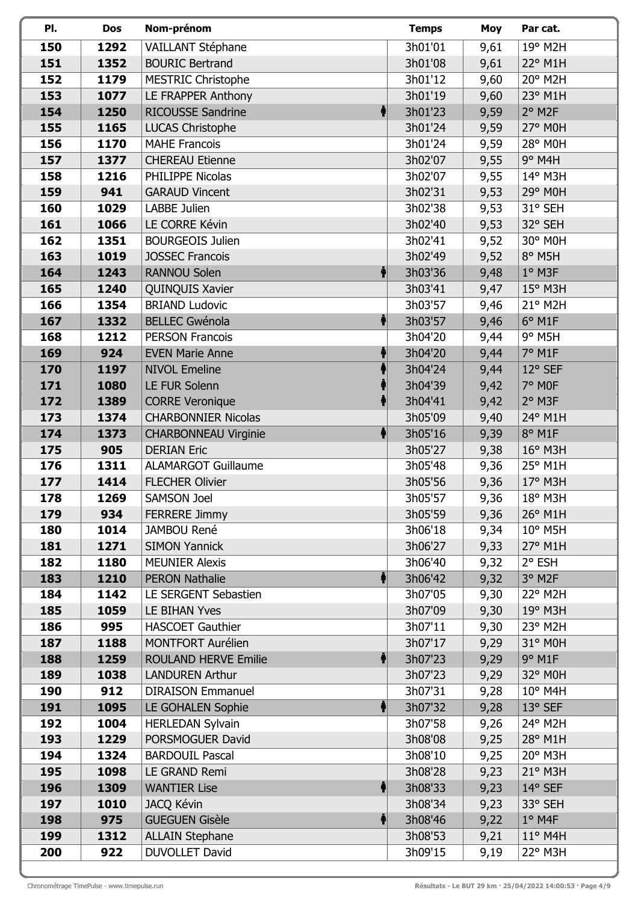| PI.        | <b>Dos</b>  | Nom-prénom                                         | <b>Temps</b>       | Moy  | Par cat.             |
|------------|-------------|----------------------------------------------------|--------------------|------|----------------------|
| 150        | 1292        | VAILLANT Stéphane                                  | 3h01'01            | 9,61 | 19° M2H              |
| 151        | 1352        | <b>BOURIC Bertrand</b>                             | 3h01'08            | 9,61 | 22° M1H              |
| 152        | 1179        | <b>MESTRIC Christophe</b>                          | 3h01'12            | 9,60 | 20° M2H              |
| 153        | 1077        | LE FRAPPER Anthony                                 | 3h01'19            | 9,60 | 23° M1H              |
| 154        | 1250        | <b>RICOUSSE Sandrine</b><br>ł.                     | 3h01'23            | 9,59 | $2°$ M <sub>2F</sub> |
| 155        | 1165        | <b>LUCAS Christophe</b>                            | 3h01'24            | 9,59 | 27° M0H              |
| 156        | 1170        | <b>MAHE Francois</b>                               | 3h01'24            | 9,59 | 28° M0H              |
| 157        | 1377        | <b>CHEREAU Etienne</b>                             | 3h02'07            | 9,55 | $9°$ M4H             |
| 158        | 1216        | PHILIPPE Nicolas                                   | 3h02'07            | 9,55 | 14° M3H              |
| 159        | 941         | <b>GARAUD Vincent</b>                              | 3h02'31            | 9,53 | 29° M0H              |
| 160        | 1029        | LABBE Julien                                       | 3h02'38            | 9,53 | 31° SEH              |
| 161        | 1066        | LE CORRE Kévin                                     | 3h02'40            | 9,53 | 32° SEH              |
| 162        | 1351        | <b>BOURGEOIS Julien</b>                            | 3h02'41            | 9,52 | 30° M0H              |
| 163        | 1019        | <b>JOSSEC Francois</b>                             | 3h02'49            | 9,52 | 8° M5H               |
| 164        | 1243        | ♦<br><b>RANNOU Solen</b>                           | 3h03'36            | 9,48 | $1°$ M3F             |
| 165        | 1240        | QUINQUIS Xavier                                    | 3h03'41            | 9,47 | 15° M3H              |
| 166        | 1354        | <b>BRIAND Ludovic</b>                              | 3h03'57            | 9,46 | 21° M2H              |
| 167        | 1332        | <b>BELLEC Gwénola</b>                              | 3h03'57            | 9,46 | 6° M1F               |
| 168        | 1212        | <b>PERSON Francois</b>                             | 3h04'20            | 9,44 | $9°$ M5H             |
| 169        | 924         | <b>EVEN Marie Anne</b>                             | 3h04'20            | 9,44 | 7° M1F               |
| 170        | 1197        | <b>NIVOL Emeline</b>                               | 3h04'24            | 9,44 | 12° SEF              |
| 171        | 1080        | LE FUR Solenn                                      | 3h04'39            | 9,42 | 7° MOF               |
| 172        | 1389        | <b>CORRE Veronique</b>                             | 3h04'41            | 9,42 | $2°$ M3F             |
| 173        | 1374        | <b>CHARBONNIER Nicolas</b>                         | 3h05'09            | 9,40 | 24° M1H              |
| 174        | 1373        | <b>CHARBONNEAU Virginie</b>                        | 3h05'16            | 9,39 | 8° M1F               |
| 175        | 905         | <b>DERIAN Eric</b>                                 | 3h05'27            | 9,38 | 16° M3H              |
| 176        | 1311        | <b>ALAMARGOT Guillaume</b>                         | 3h05'48            | 9,36 | 25° M1H              |
| 177        | 1414        | <b>FLECHER Olivier</b>                             | 3h05'56            | 9,36 | 17° M3H              |
| 178        | 1269        | SAMSON Joel                                        | 3h05'57            | 9,36 | 18° M3H              |
| 179        | 934         | <b>FERRERE Jimmy</b>                               | 3h05'59            | 9,36 | 26° M1H              |
| 180        | 1014        | JAMBOU René                                        | 3h06'18            | 9,34 | 10° M5H              |
| 181        | 1271        | <b>SIMON Yannick</b>                               | 3h06'27            | 9,33 | 27° M1H              |
| 182        | 1180        | <b>MEUNIER Alexis</b>                              | 3h06'40            | 9,32 | 2° ESH               |
| 183        | 1210        | <b>PERON Nathalie</b><br>$\ddot{\hat{\mathbf{f}}}$ | 3h06'42            | 9,32 | 3° M2F               |
| 184        | 1142        | LE SERGENT Sebastien                               | 3h07'05            | 9,30 | 22° M2H              |
| 185        | 1059        | LE BIHAN Yves                                      | 3h07'09            | 9,30 | 19° M3H              |
| 186        | 995         | <b>HASCOET Gauthier</b>                            | 3h07'11            | 9,30 | 23° M2H              |
| 187        | 1188        | <b>MONTFORT Aurélien</b>                           | 3h07'17            | 9,29 | 31° M0H              |
| 188        | 1259        | <b>ROULAND HERVE Emilie</b><br>₩                   | 3h07'23            | 9,29 | 9° M1F               |
| 189        | 1038        | <b>LANDUREN Arthur</b>                             | 3h07'23            | 9,29 | 32° M0H              |
| 190        | 912         | <b>DIRAISON Emmanuel</b>                           | 3h07'31            | 9,28 | 10° M4H              |
| 191        | 1095        | <b>LE GOHALEN Sophie</b><br>$\ddot{\P}$            | 3h07'32            | 9,28 | 13° SEF              |
| 192        | 1004        | <b>HERLEDAN Sylvain</b>                            | 3h07'58            | 9,26 | 24° M2H              |
| 193        | 1229        | PORSMOGUER David                                   | 3h08'08            | 9,25 | 28° M1H              |
| 194        | 1324        | <b>BARDOUIL Pascal</b>                             | 3h08'10            | 9,25 | 20° M3H              |
| 195        | 1098        | LE GRAND Remi                                      | 3h08'28            | 9,23 | 21° M3H              |
| 196        | 1309        | <b>WANTIER Lise</b><br>f.                          | 3h08'33            | 9,23 | 14° SEF              |
| 197<br>198 | 1010<br>975 | JACQ Kévin<br><b>GUEGUEN Gisèle</b>                | 3h08'34            | 9,23 | 33° SEH<br>$1°$ M4F  |
| 199        | 1312        | 1<br><b>ALLAIN Stephane</b>                        | 3h08'46<br>3h08'53 | 9,22 | $11^{\circ}$ M4H     |
|            |             |                                                    |                    | 9,21 |                      |
| 200        | 922         | DUVOLLET David                                     | 3h09'15            | 9,19 | 22° M3H              |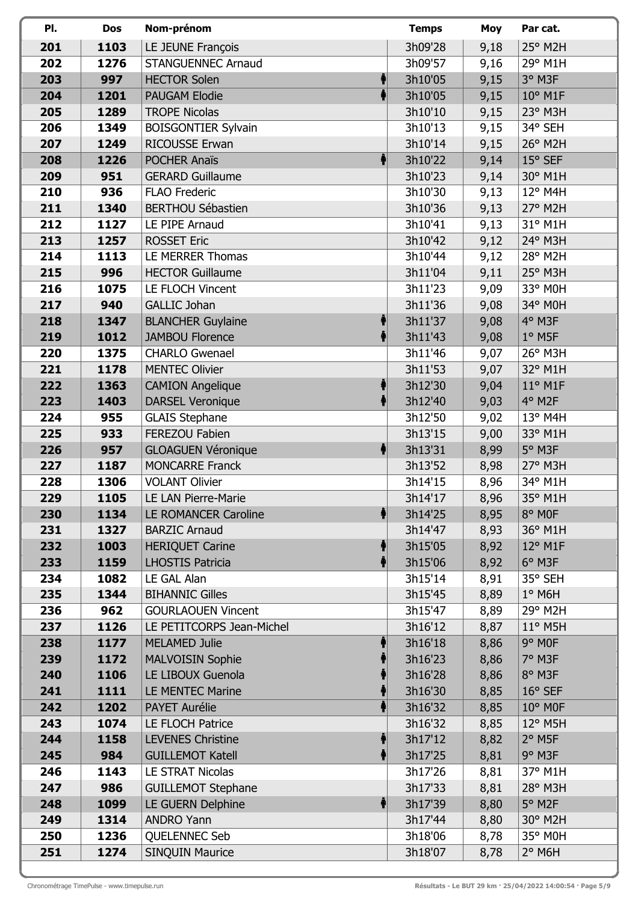| PI.        | Dos          | Nom-prénom                                             | <b>Temps</b>       | Moy          | Par cat.             |
|------------|--------------|--------------------------------------------------------|--------------------|--------------|----------------------|
| 201        | 1103         | LE JEUNE François                                      | 3h09'28            | 9,18         | 25° M2H              |
| 202        | 1276         | <b>STANGUENNEC Arnaud</b>                              | 3h09'57            | 9,16         | 29° M1H              |
| 203        | 997          | <b>HECTOR Solen</b>                                    | 3h10'05            | 9,15         | 3° M3F               |
| 204        | 1201         | <b>PAUGAM Elodie</b>                                   | 3h10'05            | 9,15         | $10^{\circ}$ M1F     |
| 205        | 1289         | <b>TROPE Nicolas</b>                                   | 3h10'10            | 9,15         | 23° M3H              |
| 206        | 1349         | <b>BOISGONTIER Sylvain</b>                             | 3h10'13            | 9,15         | 34° SEH              |
| 207        | 1249         | <b>RICOUSSE Erwan</b>                                  | 3h10'14            | 9,15         | 26° M2H              |
| 208        | 1226         | <b>POCHER Anaïs</b><br>1                               | 3h10'22            | 9,14         | 15° SEF              |
| 209        | 951          | <b>GERARD Guillaume</b>                                | 3h10'23            | 9,14         | 30° M1H              |
| 210        | 936          | <b>FLAO Frederic</b>                                   | 3h10'30            | 9,13         | 12° M4H              |
| 211        | 1340         | <b>BERTHOU Sébastien</b>                               | 3h10'36            | 9,13         | 27° M2H              |
| 212        | 1127         | LE PIPE Arnaud                                         | 3h10'41            | 9,13         | 31° M1H              |
| 213        | 1257         | <b>ROSSET Eric</b>                                     | 3h10'42            | 9,12         | 24° M3H              |
| 214        | 1113         | LE MERRER Thomas                                       | 3h10'44            | 9,12         | 28° M2H              |
| 215        | 996          | <b>HECTOR Guillaume</b>                                | 3h11'04            | 9,11         | 25° M3H              |
| 216        | 1075         | LE FLOCH Vincent                                       | 3h11'23            | 9,09         | 33° M0H              |
| 217        | 940          | <b>GALLIC Johan</b>                                    | 3h11'36            | 9,08         | 34° M0H              |
| 218        | 1347         | <b>BLANCHER Guylaine</b>                               | 3h11'37            | 9,08         | 4° M3F               |
| 219        | 1012         | <b>JAMBOU Florence</b>                                 | 3h11'43            | 9,08         | $1^\circ$ M5F        |
| 220        | 1375         | <b>CHARLO Gwenael</b>                                  | 3h11'46            | 9,07         | $26^{\circ}$ M3H     |
| 221        | 1178         | <b>MENTEC Olivier</b>                                  | 3h11'53            | 9,07         | 32° M1H              |
| 222        | 1363         | <b>CAMION Angelique</b>                                | 3h12'30            | 9,04         | $11^{\circ}$ M1F     |
| 223        | 1403         | <b>DARSEL Veronique</b>                                | 3h12'40            | 9,03         | 4° M2F               |
| 224        | 955          | <b>GLAIS Stephane</b>                                  | 3h12'50            | 9,02         | $13^{\circ}$ M4H     |
| 225        | 933          | FEREZOU Fabien                                         | 3h13'15            | 9,00         | 33° M1H              |
| 226        | 957          | <b>GLOAGUEN Véronique</b>                              | 3h13'31            | 8,99         | 5° M3F               |
| 227        | 1187         | <b>MONCARRE Franck</b>                                 | 3h13'52            | 8,98         | $27°$ M3H            |
| 228        | 1306         | <b>VOLANT Olivier</b>                                  | 3h14'15            | 8,96         | 34° M1H              |
| 229        | 1105         | LE LAN Pierre-Marie                                    | 3h14'17            | 8,96         | 35° M1H              |
| 230        | 1134         | LE ROMANCER Caroline                                   | 3h14'25            | 8,95         | 8° MOF               |
| 231        | 1327         | <b>BARZIC Arnaud</b>                                   | 3h14'47            | 8,93         | 36° M1H              |
| 232        | 1003         | <b>HERIQUET Carine</b>                                 | 3h15'05            | 8,92         | $12^{\circ}$ M1F     |
| 233        | 1159         | <b>LHOSTIS Patricia</b>                                | 3h15'06            | 8,92         | 6° M3F               |
| 234        | 1082         | LE GAL Alan                                            | 3h15'14            | 8,91         | 35° SEH              |
| 235        | 1344         | <b>BIHANNIC Gilles</b>                                 | 3h15'45            | 8,89         | $1^\circ$ M6H        |
| 236        | 962          | <b>GOURLAOUEN Vincent</b><br>LE PETITCORPS Jean-Michel | 3h15'47            | 8,89         | 29° M2H              |
| 237        | 1126         |                                                        | 3h16'12            | 8,87         | 11° M5H<br>9° MOF    |
| 238        | 1177         | <b>MELAMED Julie</b>                                   | 3h16'18            | 8,86         | 7° M3F               |
| 239<br>240 | 1172<br>1106 | <b>MALVOISIN Sophie</b><br>LE LIBOUX Guenola           | 3h16'23            | 8,86         | 8° M3F               |
| 241        | 1111         | <b>LE MENTEC Marine</b>                                | 3h16'28<br>3h16'30 | 8,86         | $16°$ SEF            |
| 242        | 1202         | PAYET Aurélie                                          | 3h16'32            | 8,85<br>8,85 | 10° M0F              |
| 243        | 1074         | LE FLOCH Patrice                                       | 3h16'32            | 8,85         | 12° M5H              |
| 244        | 1158         | <b>LEVENES Christine</b>                               | 3h17'12            | 8,82         | $2°$ M <sub>5F</sub> |
| 245        | 984          | <b>GUILLEMOT Katell</b>                                | 3h17'25            | 8,81         | 9° M3F               |
| 246        | 1143         | LE STRAT Nicolas                                       | 3h17'26            | 8,81         | 37° M1H              |
| 247        | 986          | <b>GUILLEMOT Stephane</b>                              | 3h17'33            | 8,81         | 28° M3H              |
| 248        | 1099         | LE GUERN Delphine                                      | 3h17'39            | 8,80         | 5° M2F               |
| 249        | 1314         | <b>ANDRO Yann</b>                                      | 3h17'44            | 8,80         | 30° M2H              |
| 250        | 1236         | QUELENNEC Seb                                          | 3h18'06            | 8,78         | 35° M0H              |
| 251        | 1274         | <b>SINQUIN Maurice</b>                                 | 3h18'07            | 8,78         | $2°$ M6H             |
|            |              |                                                        |                    |              |                      |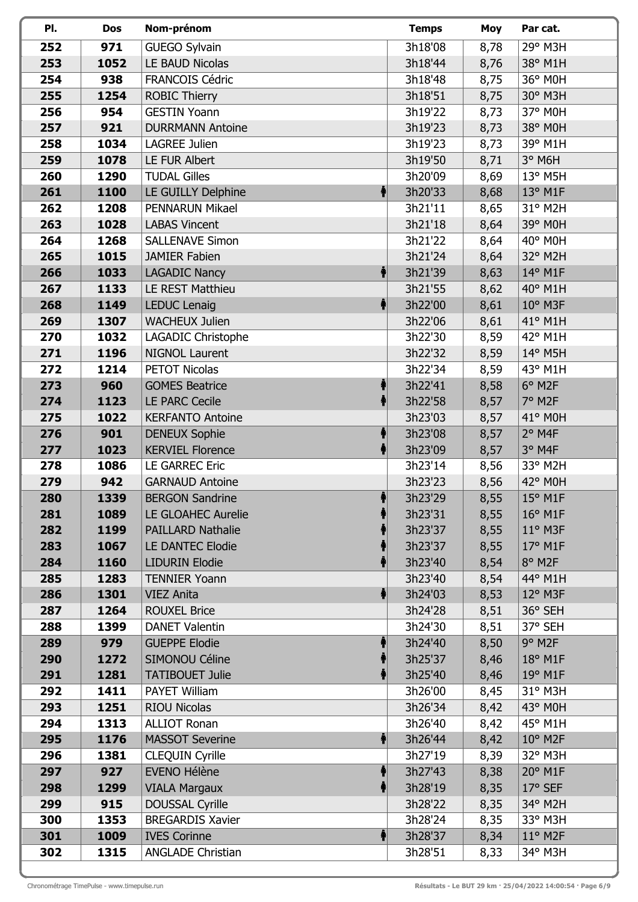| PI.        | Dos         | Nom-prénom                                    | <b>Temps</b>       | Moy          | Par cat.              |
|------------|-------------|-----------------------------------------------|--------------------|--------------|-----------------------|
| 252        | 971         | <b>GUEGO Sylvain</b>                          | 3h18'08            | 8,78         | 29° M3H               |
| 253        | 1052        | LE BAUD Nicolas                               | 3h18'44            | 8,76         | 38° M1H               |
| 254        | 938         | <b>FRANCOIS Cédric</b>                        | 3h18'48            | 8,75         | 36° M0H               |
| 255        | 1254        | <b>ROBIC Thierry</b>                          | 3h18'51            | 8,75         | 30° M3H               |
| 256        | 954         | <b>GESTIN Yoann</b>                           | 3h19'22            | 8,73         | 37° M0H               |
| 257        | 921         | <b>DURRMANN Antoine</b>                       | 3h19'23            | 8,73         | 38° M0H               |
| 258        | 1034        | LAGREE Julien                                 | 3h19'23            | 8,73         | 39° M1H               |
| 259        | 1078        | LE FUR Albert                                 | 3h19'50            | 8,71         | 3° M6H                |
| 260        | 1290        | <b>TUDAL Gilles</b>                           | 3h20'09            | 8,69         | $13^{\circ}$ M5H      |
| 261        | 1100        | LE GUILLY Delphine<br>$\ddot{\bullet}$        | 3h20'33            | 8,68         | $13^{\circ}$ M1F      |
| 262        | 1208        | <b>PENNARUN Mikael</b>                        | 3h21'11            | 8,65         | 31° M2H               |
| 263        | 1028        | <b>LABAS Vincent</b>                          | 3h21'18            | 8,64         | 39° M0H               |
| 264        | 1268        | <b>SALLENAVE Simon</b>                        | 3h21'22            | 8,64         | 40° M0H               |
| 265        | 1015        | JAMIER Fabien                                 | 3h21'24            | 8,64         | 32° M2H               |
| 266        | 1033        | ♦<br><b>LAGADIC Nancy</b>                     | 3h21'39            | 8,63         | 14° M1F               |
| 267        | 1133        | LE REST Matthieu                              | 3h21'55            | 8,62         | 40° M1H               |
| 268        | 1149        | ł<br><b>LEDUC Lenaig</b>                      | 3h22'00            | 8,61         | $10^{\circ}$ M3F      |
| 269        | 1307        | <b>WACHEUX Julien</b>                         | 3h22'06            | 8,61         | 41° M1H               |
| 270        | 1032        | LAGADIC Christophe                            | 3h22'30            | 8,59         | 42° M1H               |
| 271        | 1196        | <b>NIGNOL Laurent</b>                         | 3h22'32            | 8,59         | 14° M5H               |
| 272        | 1214        | <b>PETOT Nicolas</b>                          | 3h22'34            | 8,59         | 43° M1H               |
| 273        | 960         | <b>GOMES Beatrice</b>                         | 3h22'41            | 8,58         | 6° M2F                |
| 274        | 1123        | <b>LE PARC Cecile</b>                         | 3h22'58            | 8,57         | 7° M2F                |
| 275        | 1022        | <b>KERFANTO Antoine</b>                       | 3h23'03            | 8,57         | 41° M0H               |
| 276        | 901         | <b>DENEUX Sophie</b>                          | 3h23'08            | 8,57         | $2°$ M4F              |
| 277        | 1023        | <b>KERVIEL Florence</b>                       | 3h23'09            | 8,57         | 3° M4F                |
| 278        | 1086        | <b>LE GARREC Eric</b>                         | 3h23'14            | 8,56         | 33° M2H               |
| 279        | 942         | <b>GARNAUD Antoine</b>                        | 3h23'23            | 8,56         | 42° M0H               |
| 280        | 1339        | <b>BERGON Sandrine</b>                        | 3h23'29            | 8,55         | 15° M1F               |
| 281        | 1089        | LE GLOAHEC Aurelie                            | 3h23'31            | 8,55         | $16^{\circ}$ M1F      |
| 282        | 1199        | <b>PAILLARD Nathalie</b>                      | 3h23'37            | 8,55         | $11^{\circ}$ M3F      |
| 283        | 1067        | <b>LE DANTEC Elodie</b>                       | 3h23'37            | 8,55         | 17° M1F               |
| 284        | 1160        | <b>LIDURIN Elodie</b>                         | 3h23'40            | 8,54         | 8° M2F                |
| 285        | 1283        | <b>TENNIER Yoann</b>                          | 3h23'40            | 8,54         | 44° M1H               |
| 286        | 1301        | $\ddagger$<br><b>VIEZ Anita</b>               | 3h24'03            | 8,53         | 12° M3F               |
| 287        | 1264        | <b>ROUXEL Brice</b>                           | 3h24'28            | 8,51         | 36° SEH               |
| 288        | 1399        | <b>DANET Valentin</b>                         | 3h24'30            | 8,51         | 37° SEH               |
| 289        | 979         | <b>GUEPPE Elodie</b>                          | 3h24'40            | 8,50         | $9°$ M <sub>2</sub> F |
| 290        | 1272        | SIMONOU Céline                                | 3h25'37            | 8,46         | 18° M1F               |
| 291        | 1281        | <b>TATIBOUET Julie</b>                        | 3h25'40            | 8,46         | 19° M1F               |
| 292        | 1411        | <b>PAYET William</b>                          | 3h26'00            | 8,45         | 31° M3H               |
| 293        | 1251        | <b>RIOU Nicolas</b>                           | 3h26'34            | 8,42         | 43° M0H               |
| 294        | 1313        | <b>ALLIOT Ronan</b>                           | 3h26'40            | 8,42         | 45° M1H               |
| 295        | 1176        | <b>MASSOT Severine</b><br>$\ddot{\mathbf{f}}$ | 3h26'44<br>3h27'19 | 8,42         | 10° M2F<br>32° M3H    |
| 296<br>297 | 1381<br>927 | <b>CLEQUIN Cyrille</b><br><b>EVENO Hélène</b> | 3h27'43            | 8,39         | 20° M1F               |
| 298        | 1299        | <b>VIALA Margaux</b>                          | 3h28'19            | 8,38<br>8,35 | $17°$ SEF             |
| 299        | 915         | <b>DOUSSAL Cyrille</b>                        | 3h28'22            | 8,35         | 34° M2H               |
| 300        | 1353        | <b>BREGARDIS Xavier</b>                       | 3h28'24            | 8,35         | 33° M3H               |
| 301        | 1009        | ╋<br><b>IVES Corinne</b>                      | 3h28'37            | 8,34         | $11^{\circ}$ M2F      |
| 302        | 1315        | <b>ANGLADE Christian</b>                      | 3h28'51            | 8,33         | 34° M3H               |
|            |             |                                               |                    |              |                       |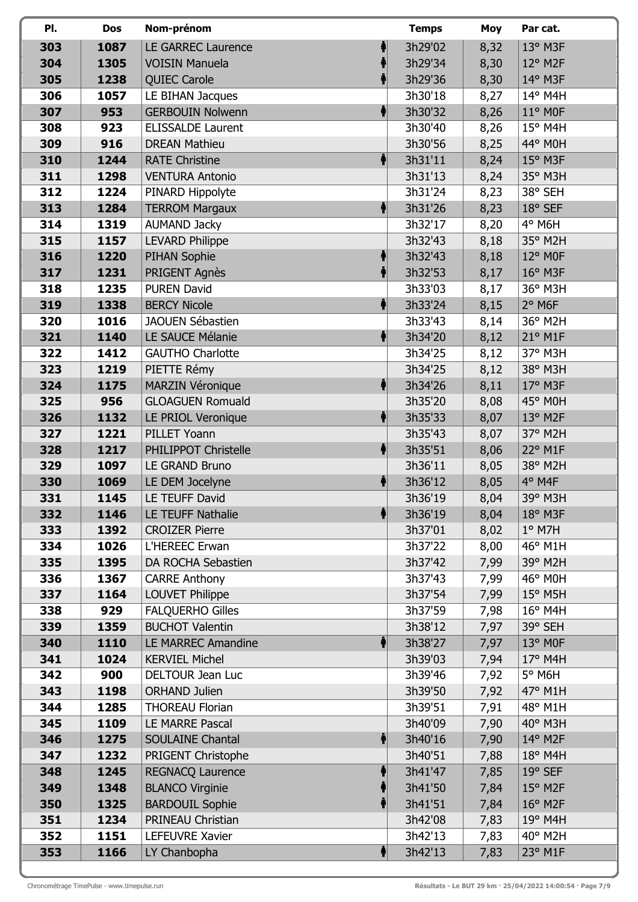| PI.        | Dos          | Nom-prénom                                |   | <b>Temps</b>       | Moy          | Par cat.              |
|------------|--------------|-------------------------------------------|---|--------------------|--------------|-----------------------|
| 303        | 1087         | <b>LE GARREC Laurence</b>                 |   | 3h29'02            | 8,32         | 13° M3F               |
| 304        | 1305         | <b>VOISIN Manuela</b>                     |   | 3h29'34            | 8,30         | $12^{\circ}$ M2F      |
| 305        | 1238         | <b>QUIEC Carole</b>                       |   | 3h29'36            | 8,30         | 14° M3F               |
| 306        | 1057         | LE BIHAN Jacques                          |   | 3h30'18            | 8,27         | 14° M4H               |
| 307        | 953          | <b>GERBOUIN Nolwenn</b>                   |   | 3h30'32            | 8,26         | $11^{\circ}$ MOF      |
| 308        | 923          | <b>ELISSALDE Laurent</b>                  |   | 3h30'40            | 8,26         | $15^{\circ}$ M4H      |
| 309        | 916          | <b>DREAN Mathieu</b>                      |   | 3h30'56            | 8,25         | 44° M0H               |
| 310        | 1244         | <b>RATE Christine</b>                     | 1 | 3h31'11            | 8,24         | $15^{\circ}$ M3F      |
| 311        | 1298         | <b>VENTURA Antonio</b>                    |   | 3h31'13            | 8,24         | 35° M3H               |
| 312        | 1224         | PINARD Hippolyte                          |   | 3h31'24            | 8,23         | 38° SEH               |
| 313        | 1284         | <b>TERROM Margaux</b>                     |   | 3h31'26            | 8,23         | 18° SEF               |
| 314        | 1319         | <b>AUMAND Jacky</b>                       |   | 3h32'17            | 8,20         | $4^{\circ}$ M6H       |
| 315        | 1157         | <b>LEVARD Philippe</b>                    |   | 3h32'43            | 8,18         | 35° M2H               |
| 316        | 1220         | PIHAN Sophie                              |   | 3h32'43            | 8,18         | 12° M0F               |
| 317        | 1231         | PRIGENT Agnès                             |   | 3h32'53            | 8,17         | $16^{\circ}$ M3F      |
| 318        | 1235         | <b>PUREN David</b>                        |   | 3h33'03            | 8,17         | 36° M3H               |
| 319        | 1338         | <b>BERCY Nicole</b>                       |   | 3h33'24            | 8,15         | $2°$ M <sub>6</sub> F |
| 320        | 1016         | <b>JAOUEN Sébastien</b>                   |   | 3h33'43            | 8,14         | 36° M2H               |
| 321        | 1140         | LE SAUCE Mélanie                          |   | 3h34'20            | 8,12         | 21° M1F               |
| 322        | 1412         | <b>GAUTHO Charlotte</b>                   |   | 3h34'25            | 8,12         | 37° M3H               |
| 323        | 1219         | PIETTE Rémy                               |   | 3h34'25            | 8,12         | 38° M3H               |
| 324        | 1175         | <b>MARZIN Véronique</b>                   |   | 3h34'26            | 8,11         | 17° M3F               |
| 325        | 956          | <b>GLOAGUEN Romuald</b>                   |   | 3h35'20            | 8,08         | 45° M0H               |
| 326        | 1132         | LE PRIOL Veronique                        | ł | 3h35'33            | 8,07         | 13° M2F               |
| 327        | 1221         | PILLET Yoann                              |   | 3h35'43            | 8,07         | 37° M2H               |
| 328        | 1217         | PHILIPPOT Christelle                      |   | 3h35'51            | 8,06         | 22° M1F               |
| 329        | 1097         | LE GRAND Bruno                            |   | 3h36'11            | 8,05         | 38° M2H               |
| 330        | 1069         | LE DEM Jocelyne                           |   | 3h36'12            | 8,05         | 4° M4F                |
| 331        | 1145         | LE TEUFF David                            |   | 3h36'19            | 8,04         | 39° M3H               |
| 332        | 1146         | LE TEUFF Nathalie                         |   | 3h36'19            | 8,04         | 18° M3F               |
| 333        | 1392         | <b>CROIZER Pierre</b>                     |   | 3h37'01            | 8,02         | $1°$ M7H              |
| 334        | 1026         | L'HEREEC Erwan                            |   | 3h37'22            | 8,00         | 46° M1H               |
| 335        | 1395         | DA ROCHA Sebastien                        |   | 3h37'42            | 7,99         | 39° M2H               |
| 336        | 1367         | <b>CARRE Anthony</b>                      |   | 3h37'43            | 7,99         | 46° M0H               |
| 337        | 1164         | <b>LOUVET Philippe</b>                    |   | 3h37'54            | 7,99         | 15° M5H               |
| 338        | 929          | <b>FALQUERHO Gilles</b>                   |   | 3h37'59            | 7,98         | 16° M4H               |
| 339        | 1359         | <b>BUCHOT Valentin</b>                    |   | 3h38'12            | 7,97         | 39° SEH               |
| 340        | 1110         | LE MARREC Amandine                        |   | 3h38'27            | 7,97         | $13^{\circ}$ MOF      |
| 341        | 1024         | <b>KERVIEL Michel</b>                     |   | 3h39'03            | 7,94         | 17° M4H               |
| 342        | 900          | <b>DELTOUR Jean Luc</b>                   |   | 3h39'46            | 7,92         | 5° M6H                |
| 343        | 1198         | <b>ORHAND Julien</b>                      |   | 3h39'50            | 7,92         | 47° M1H               |
| 344<br>345 | 1285<br>1109 | <b>THOREAU Florian</b><br>LE MARRE Pascal |   | 3h39'51<br>3h40'09 | 7,91         | 48° M1H<br>40° M3H    |
| 346        | 1275         |                                           |   | 3h40'16            | 7,90         |                       |
| 347        | 1232         | SOULAINE Chantal<br>PRIGENT Christophe    |   | 3h40'51            | 7,90<br>7,88 | 14° M2F<br>18° M4H    |
| 348        | 1245         | <b>REGNACQ Laurence</b>                   |   | 3h41'47            | 7,85         | $19°$ SEF             |
| 349        | 1348         | <b>BLANCO Virginie</b>                    |   | 3h41'50            | 7,84         | $15^{\circ}$ M2F      |
| 350        | 1325         | <b>BARDOUIL Sophie</b>                    |   | 3h41'51            | 7,84         | $16^{\circ}$ M2F      |
| 351        | 1234         | PRINEAU Christian                         |   | 3h42'08            | 7,83         | 19° M4H               |
| 352        | 1151         | LEFEUVRE Xavier                           |   | 3h42'13            | 7,83         | 40° M2H               |
| 353        | 1166         | LY Chanbopha                              | ♦ | 3h42'13            | 7,83         | 23° M1F               |
|            |              |                                           |   |                    |              |                       |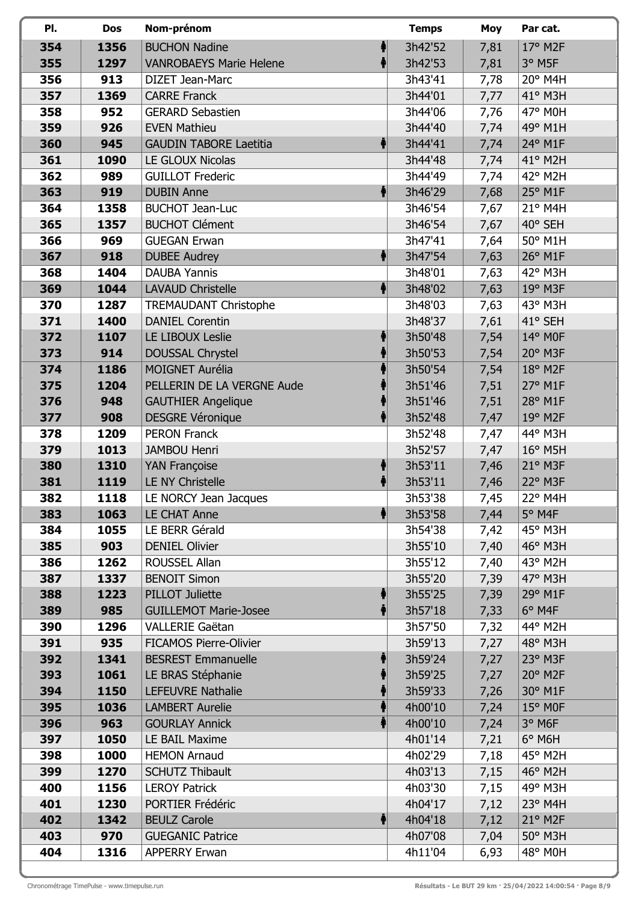| PI.        | Dos         | Nom-prénom                              | <b>Temps</b>       | Moy  | Par cat.           |
|------------|-------------|-----------------------------------------|--------------------|------|--------------------|
| 354        | 1356        | <b>BUCHON Nadine</b>                    | 3h42'52            | 7,81 | 17° M2F            |
| 355        | 1297        | <b>VANROBAEYS Marie Helene</b>          | 3h42'53            | 7,81 | 3° M5F             |
| 356        | 913         | DIZET Jean-Marc                         | 3h43'41            | 7,78 | 20° M4H            |
| 357        | 1369        | <b>CARRE Franck</b>                     | 3h44'01            | 7,77 | 41° M3H            |
| 358        | 952         | <b>GERARD Sebastien</b>                 | 3h44'06            | 7,76 | 47° M0H            |
| 359        | 926         | <b>EVEN Mathieu</b>                     | 3h44'40            | 7,74 | 49° M1H            |
| 360        | 945         | <b>GAUDIN TABORE Laetitia</b>           | 3h44'41            | 7,74 | 24° M1F            |
| 361        | 1090        | LE GLOUX Nicolas                        | 3h44'48            | 7,74 | 41° M2H            |
| 362        | 989         | <b>GUILLOT Frederic</b>                 | 3h44'49            | 7,74 | 42° M2H            |
| 363        | 919         | <b>DUBIN Anne</b>                       | ♠<br>3h46'29       | 7,68 | 25° M1F            |
| 364        | 1358        | <b>BUCHOT Jean-Luc</b>                  | 3h46'54            | 7,67 | 21° M4H            |
| 365        | 1357        | <b>BUCHOT Clément</b>                   | 3h46'54            | 7,67 | 40° SEH            |
| 366        | 969         | <b>GUEGAN Erwan</b>                     | 3h47'41            | 7,64 | 50° M1H            |
| 367        | 918         | <b>DUBEE Audrey</b>                     | 3h47'54            | 7,63 | 26° M1F            |
| 368        | 1404        | <b>DAUBA Yannis</b>                     | 3h48'01            | 7,63 | 42° M3H            |
| 369        | 1044        | <b>LAVAUD Christelle</b>                | 3h48'02            | 7,63 | 19° M3F            |
| 370        | 1287        | <b>TREMAUDANT Christophe</b>            | 3h48'03            | 7,63 | 43° M3H            |
| 371        | 1400        | <b>DANIEL Corentin</b>                  | 3h48'37            | 7,61 | 41° SEH            |
| 372        | 1107        | LE LIBOUX Leslie                        | 3h50'48            | 7,54 | 14° M0F            |
| 373        | 914         | <b>DOUSSAL Chrystel</b>                 | 3h50'53            | 7,54 | $20^\circ$ M3F     |
| 374        | 1186        | <b>MOIGNET Aurélia</b>                  | 3h50'54            | 7,54 | $18^{\circ}$ M2F   |
| 375        | 1204        | PELLERIN DE LA VERGNE Aude              | 3h51'46            | 7,51 | 27° M1F            |
| 376        | 948         | <b>GAUTHIER Angelique</b>               | 3h51'46            | 7,51 | 28° M1F            |
| 377        | 908         | <b>DESGRE Véronique</b>                 | 3h52'48            | 7,47 | $19°$ M2F          |
| 378        | 1209        | <b>PERON Franck</b>                     | 3h52'48            | 7,47 | 44° M3H            |
| 379        | 1013        | <b>JAMBOU Henri</b>                     | 3h52'57            | 7,47 | $16^{\circ}$ M5H   |
| 380        | 1310        | YAN Françoise                           | 3h53'11            | 7,46 | 21° M3F            |
| 381        | 1119        | <b>LE NY Christelle</b>                 | 3h53'11            | 7,46 | 22° M3F            |
| 382        | 1118        | LE NORCY Jean Jacques                   | 3h53'38            | 7,45 | 22° M4H            |
| 383        | 1063        | LE CHAT Anne                            | 3h53'58            | 7,44 | 5° M4F             |
| 384        | 1055        | LE BERR Gérald                          | 3h54'38            | 7,42 | 45° M3H            |
| 385        | 903         | <b>DENIEL Olivier</b>                   | 3h55'10            | 7,40 | 46° M3H            |
| 386        | 1262        | ROUSSEL Allan                           | 3h55'12            | 7,40 | 43° M2H            |
| 387        | 1337        | <b>BENOIT Simon</b>                     | 3h55'20            | 7,39 | $47^\circ$ M3H     |
| 388        | 1223        | <b>PILLOT Juliette</b>                  | 3h55'25            | 7,39 | 29° M1F            |
| 389        | 985         | <b>GUILLEMOT Marie-Josee</b>            | 3h57'18            | 7,33 | 6° M4F             |
| 390        | 1296        | <b>VALLERIE Gaëtan</b>                  | 3h57'50            | 7,32 | 44° M2H            |
| 391        | 935         | <b>FICAMOS Pierre-Olivier</b>           | 3h59'13            | 7,27 | 48° M3H            |
| 392        | 1341        | <b>BESREST Emmanuelle</b>               | 3h59'24            | 7,27 | 23° M3F            |
| 393        | 1061        | LE BRAS Stéphanie                       | 3h59'25            | 7,27 | 20° M2F            |
| 394        | 1150        | <b>LEFEUVRE Nathalie</b>                | 3h59'33            | 7,26 | 30° M1F            |
| 395        | 1036        | <b>LAMBERT Aurelie</b>                  | 4h00'10            | 7,24 | $15^{\circ}$ MOF   |
| 396        | 963         | <b>GOURLAY Annick</b>                   | 4h00'10            | 7,24 | 3° M6F             |
| 397        | 1050        | LE BAIL Maxime                          | 4h01'14            | 7,21 | $6^\circ$ M6H      |
| 398        | 1000        | <b>HEMON Arnaud</b>                     | 4h02'29            | 7,18 | 45° M2H            |
| 399        | 1270        | <b>SCHUTZ Thibault</b>                  | 4h03'13            | 7,15 | 46° M2H            |
| 400        | 1156        | <b>LEROY Patrick</b>                    | 4h03'30            | 7,15 | 49° M3H            |
| 401<br>402 | 1230        | PORTIER Frédéric<br><b>BEULZ Carole</b> | 4h04'17<br>4h04'18 | 7,12 | 23° M4H<br>21° M2F |
| 403        | 1342<br>970 | <b>GUEGANIC Patrice</b>                 | 4h07'08            | 7,12 | 50° M3H            |
|            |             |                                         | 4h11'04            | 7,04 | 48° M0H            |
| 404        | 1316        | <b>APPERRY Erwan</b>                    |                    | 6,93 |                    |